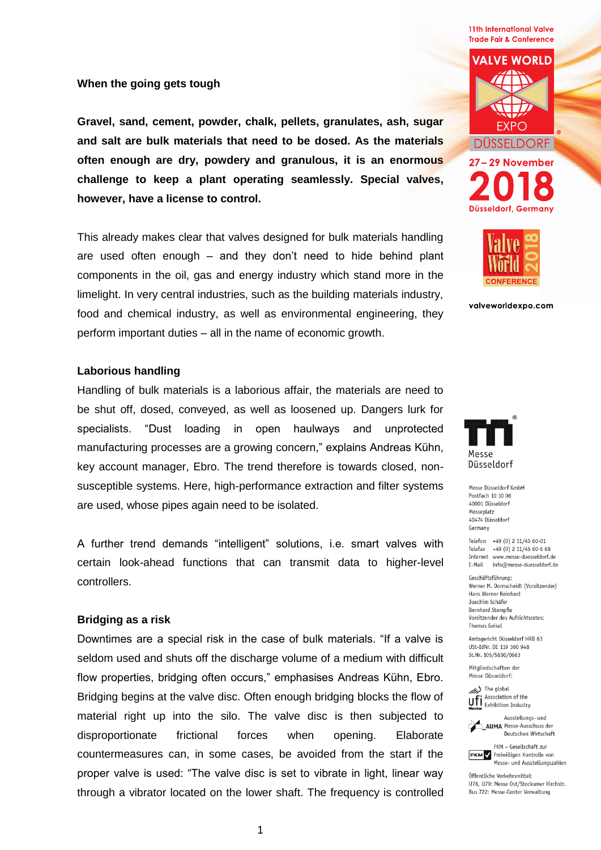**11th International Valve Trade Fair & Conference** 

### **When the going gets tough**

**Gravel, sand, cement, powder, chalk, pellets, granulates, ash, sugar and salt are bulk materials that need to be dosed. As the materials often enough are dry, powdery and granulous, it is an enormous challenge to keep a plant operating seamlessly. Special valves, however, have a license to control.**

This already makes clear that valves designed for bulk materials handling are used often enough – and they don't need to hide behind plant components in the oil, gas and energy industry which stand more in the limelight. In very central industries, such as the building materials industry, food and chemical industry, as well as environmental engineering, they perform important duties – all in the name of economic growth.

# **Laborious handling**

Handling of bulk materials is a laborious affair, the materials are need to be shut off, dosed, conveyed, as well as loosened up. Dangers lurk for specialists. "Dust loading in open haulways and unprotected manufacturing processes are a growing concern," explains Andreas Kühn, key account manager, Ebro. The trend therefore is towards closed, nonsusceptible systems. Here, high-performance extraction and filter systems are used, whose pipes again need to be isolated.

A further trend demands "intelligent" solutions, i.e. smart valves with certain look-ahead functions that can transmit data to higher-level controllers.

### **Bridging as a risk**

Downtimes are a special risk in the case of bulk materials. "If a valve is seldom used and shuts off the discharge volume of a medium with difficult flow properties, bridging often occurs," emphasises Andreas Kühn, Ebro. Bridging begins at the valve disc. Often enough bridging blocks the flow of material right up into the silo. The valve disc is then subjected to disproportionate frictional forces when opening. Elaborate countermeasures can, in some cases, be avoided from the start if the proper valve is used: "The valve disc is set to vibrate in light, linear way through a vibrator located on the lower shaft. The frequency is controlled





Düsseldorf, Germany

valveworldexpo.com



Messe Düsseldorf GmbH Postfach 10 10 06 40001 Düsseldorf Messenlatz 40474 Düsseldorf Germany

Telefon +49 (0) 2 11/45 60-01 Telefax +49 (0) 2 11/45 60-6 68 Internet www.messe-duesseldorf.de E-Mail info@messe-duesseldorf.de

Geschäftsführung: Werner M. Dornscheidt (Vorsitzender) Hans Werner Reinhard Joachim Schäfer Bernhard Stempfle Vorsitzender des Aufsichtsrates: Thomas Geisel

Amtsgericht Düsseldorf HRB 63 USt-IdNr. DE 119 360 948 St.Nr. 105/5830/0663

Mitaliedschaften der Messe Düsseldorf:

(b) The global Association of the Uff Association of the<br>
Momber<br>
Momber<br>
Momber



**AUMA** Messe-Ausschuss der Deutschen Wirtschaft

FKM - Gesellschaft zur **FKM** Freiwilligen Kontrolle von Messe- und Ausstellungszahlen

Öffentliche Verkehrsmittel: 1178 1179 Messe Ost/Stockumer Kirchstr Bus 722: Messe-Center Verwaltung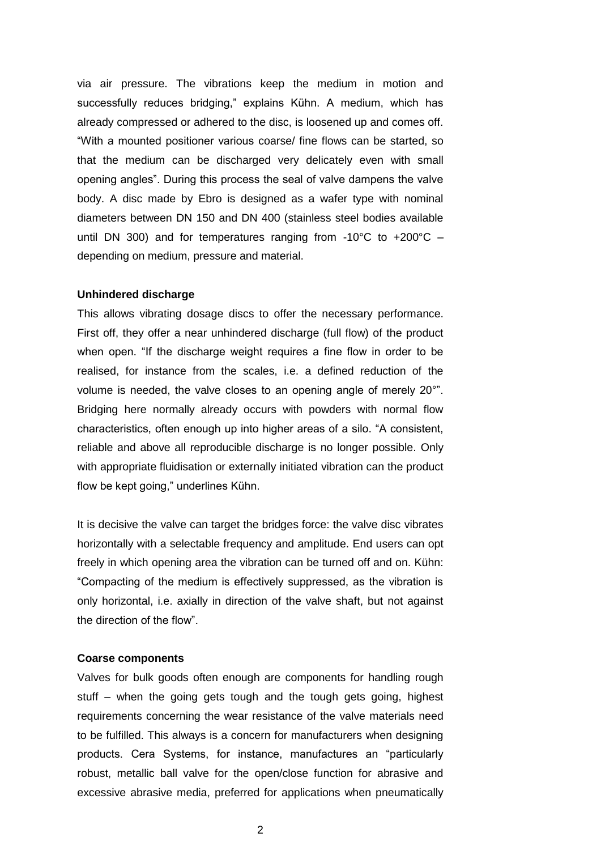via air pressure. The vibrations keep the medium in motion and successfully reduces bridging," explains Kühn. A medium, which has already compressed or adhered to the disc, is loosened up and comes off. "With a mounted positioner various coarse/ fine flows can be started, so that the medium can be discharged very delicately even with small opening angles". During this process the seal of valve dampens the valve body. A disc made by Ebro is designed as a wafer type with nominal diameters between DN 150 and DN 400 (stainless steel bodies available until DN 300) and for temperatures ranging from -10°C to +200°C – depending on medium, pressure and material.

#### **Unhindered discharge**

This allows vibrating dosage discs to offer the necessary performance. First off, they offer a near unhindered discharge (full flow) of the product when open. "If the discharge weight requires a fine flow in order to be realised, for instance from the scales, i.e. a defined reduction of the volume is needed, the valve closes to an opening angle of merely 20°". Bridging here normally already occurs with powders with normal flow characteristics, often enough up into higher areas of a silo. "A consistent, reliable and above all reproducible discharge is no longer possible. Only with appropriate fluidisation or externally initiated vibration can the product flow be kept going," underlines Kühn.

It is decisive the valve can target the bridges force: the valve disc vibrates horizontally with a selectable frequency and amplitude. End users can opt freely in which opening area the vibration can be turned off and on. Kühn: "Compacting of the medium is effectively suppressed, as the vibration is only horizontal, i.e. axially in direction of the valve shaft, but not against the direction of the flow".

## **Coarse components**

Valves for bulk goods often enough are components for handling rough stuff – when the going gets tough and the tough gets going, highest requirements concerning the wear resistance of the valve materials need to be fulfilled. This always is a concern for manufacturers when designing products. Cera Systems, for instance, manufactures an "particularly robust, metallic ball valve for the open/close function for abrasive and excessive abrasive media, preferred for applications when pneumatically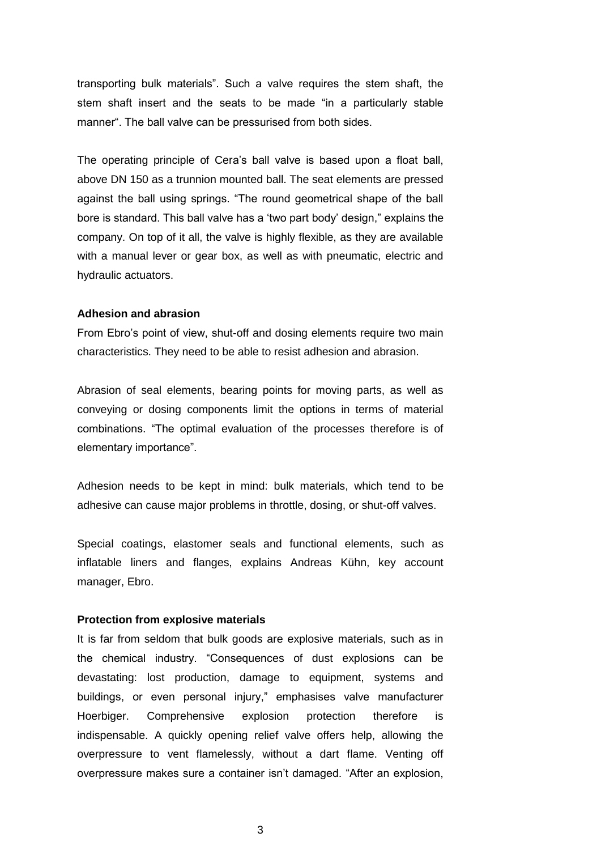transporting bulk materials". Such a valve requires the stem shaft, the stem shaft insert and the seats to be made "in a particularly stable manner". The ball valve can be pressurised from both sides.

The operating principle of Cera's ball valve is based upon a float ball, above DN 150 as a trunnion mounted ball. The seat elements are pressed against the ball using springs. "The round geometrical shape of the ball bore is standard. This ball valve has a 'two part body' design," explains the company. On top of it all, the valve is highly flexible, as they are available with a manual lever or gear box, as well as with pneumatic, electric and hydraulic actuators.

#### **Adhesion and abrasion**

From Ebro's point of view, shut-off and dosing elements require two main characteristics. They need to be able to resist adhesion and abrasion.

Abrasion of seal elements, bearing points for moving parts, as well as conveying or dosing components limit the options in terms of material combinations. "The optimal evaluation of the processes therefore is of elementary importance".

Adhesion needs to be kept in mind: bulk materials, which tend to be adhesive can cause major problems in throttle, dosing, or shut-off valves.

Special coatings, elastomer seals and functional elements, such as inflatable liners and flanges, explains Andreas Kühn, key account manager, Ebro.

### **Protection from explosive materials**

It is far from seldom that bulk goods are explosive materials, such as in the chemical industry. "Consequences of dust explosions can be devastating: lost production, damage to equipment, systems and buildings, or even personal injury," emphasises valve manufacturer Hoerbiger. Comprehensive explosion protection therefore is indispensable. A quickly opening relief valve offers help, allowing the overpressure to vent flamelessly, without a dart flame. Venting off overpressure makes sure a container isn't damaged. "After an explosion,